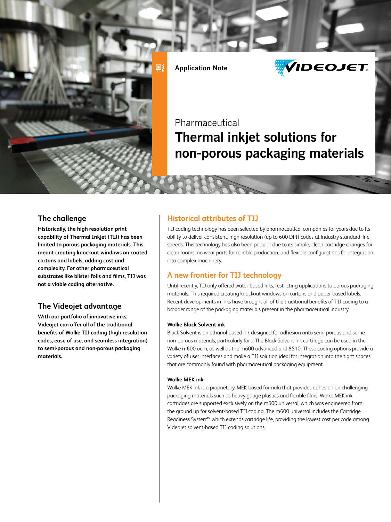

**Application Note**



# Pharmaceutical **Thermal inkjet solutions for non-porous packaging materials**

### **The challenge**

**Historically, the high resolution print capability of Thermal Inkjet (TIJ) has been limited to porous packaging materials. This meant creating knockout windows on coated cartons and labels, adding cost and complexity. For other pharmaceutical substrates like blister foils and films, TIJ was not a viable coding alternative.** 

### **The Videojet advantage**

**With our portfolio of innovative inks, Videojet can offer all of the traditional benefits of Wolke TIJ coding (high resolution codes, ease of use, and seamless integration) to semi-porous and non-porous packaging materials.**

### **Historical attributes of TIJ**

TIJ coding technology has been selected by pharmaceutical companies for years due to its ability to deliver consistent, high resolution (up to 600 DPI) codes at industry standard line speeds. This technology has also been popular due to its simple, clean cartridge changes for clean rooms, no wear parts for reliable production, and flexible configurations for integration into complex machinery.

### **A new frontier for TIJ technology**

Until recently, TIJ only offered water-based inks, restricting applications to porous packaging materials. This required creating knockout windows on cartons and paper-based labels. Recent developments in inks have brought all of the traditional benefits of TIJ coding to a broader range of the packaging materials present in the pharmaceutical industry.

#### **Wolke Black Solvent ink**

Black Solvent is an ethanol-based ink designed for adhesion onto semi-porous and some non-porous materials, particularly foils. The Black Solvent ink cartridge can be used in the Wolke m600 oem, as well as the m600 advanced and 8510. These coding options provide a variety of user interfaces and make a TIJ solution ideal for integration into the tight spaces that are commonly found with pharmaceutical packaging equipment.

#### **Wolke MEK ink**

Wolke MEK ink is a proprietary, MEK-based formula that provides adhesion on challenging packaging materials such as heavy gauge plastics and flexible films. Wolke MEK ink cartridges are supported exclusively on the m600 universal, which was engineered from the ground up for solvent-based TIJ coding. The m600 universal includes the Cartridge Readiness System™ which extends cartridge life, providing the lowest cost per code among Videojet solvent-based TIJ coding solutions.